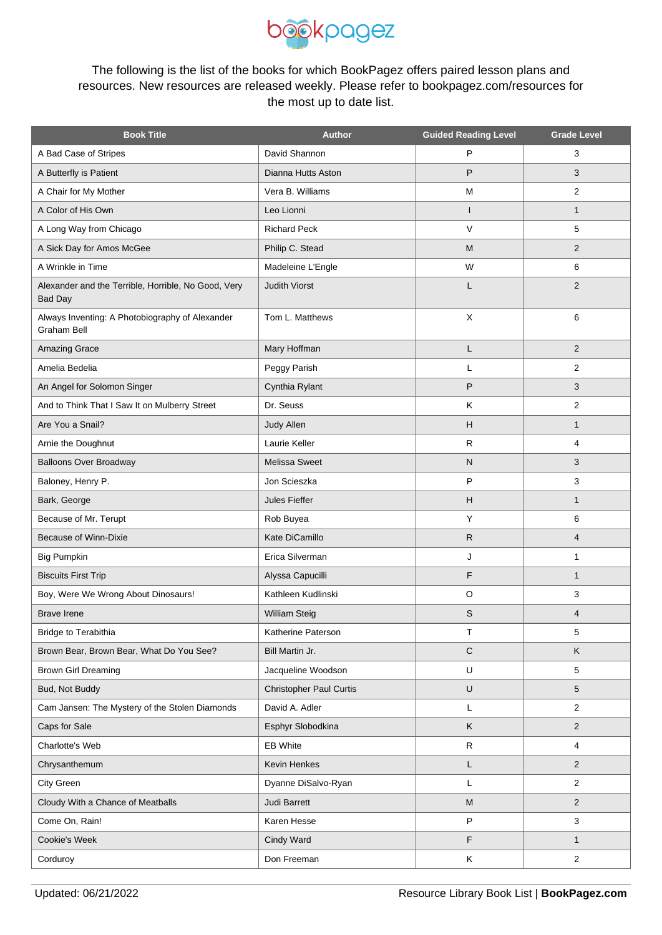

The following is the list of the books for which BookPagez offers paired lesson plans and resources. New resources are released weekly. Please refer to bookpagez.com/resources for the most up to date list.

| <b>Book Title</b>                                                     | <b>Author</b>                  | <b>Guided Reading Level</b> | <b>Grade Level</b> |
|-----------------------------------------------------------------------|--------------------------------|-----------------------------|--------------------|
| A Bad Case of Stripes                                                 | David Shannon                  | P                           | 3                  |
| A Butterfly is Patient                                                | Dianna Hutts Aston             | P                           | 3                  |
| A Chair for My Mother                                                 | Vera B. Williams               | M                           | $\overline{2}$     |
| A Color of His Own                                                    | Leo Lionni                     | $\overline{\phantom{a}}$    | $\mathbf{1}$       |
| A Long Way from Chicago                                               | <b>Richard Peck</b>            | $\vee$                      | 5                  |
| A Sick Day for Amos McGee                                             | Philip C. Stead                | M                           | $\overline{2}$     |
| A Wrinkle in Time                                                     | Madeleine L'Engle              | W                           | 6                  |
| Alexander and the Terrible, Horrible, No Good, Very<br><b>Bad Day</b> | <b>Judith Viorst</b>           | L                           | $\overline{2}$     |
| Always Inventing: A Photobiography of Alexander<br>Graham Bell        | Tom L. Matthews                | X                           | 6                  |
| Amazing Grace                                                         | Mary Hoffman                   | Г                           | $\overline{2}$     |
| Amelia Bedelia                                                        | Peggy Parish                   | L                           | 2                  |
| An Angel for Solomon Singer                                           | Cynthia Rylant                 | P                           | 3                  |
| And to Think That I Saw It on Mulberry Street                         | Dr. Seuss                      | Κ                           | 2                  |
| Are You a Snail?                                                      | Judy Allen                     | H                           | $\mathbf{1}$       |
| Arnie the Doughnut                                                    | Laurie Keller                  | $\mathsf R$                 | 4                  |
| <b>Balloons Over Broadway</b>                                         | <b>Melissa Sweet</b>           | $\mathsf{N}$                | 3                  |
| Baloney, Henry P.                                                     | Jon Scieszka                   | P                           | 3                  |
| Bark, George                                                          | Jules Fieffer                  | H                           | $\mathbf{1}$       |
| Because of Mr. Terupt                                                 | Rob Buyea                      | Y                           | 6                  |
| Because of Winn-Dixie                                                 | Kate DiCamillo                 | $\mathsf{R}$                | $\overline{4}$     |
| <b>Big Pumpkin</b>                                                    | Erica Silverman                | J                           | 1                  |
| <b>Biscuits First Trip</b>                                            | Alyssa Capucilli               | F                           | $\mathbf{1}$       |
| Boy, Were We Wrong About Dinosaurs!                                   | Kathleen Kudlinski             | O                           | 3                  |
| <b>Brave Irene</b>                                                    | William Steig                  | S                           | 4                  |
| Bridge to Terabithia                                                  | Katherine Paterson             | $\mathsf T$                 | 5                  |
| Brown Bear, Brown Bear, What Do You See?                              | Bill Martin Jr.                | $\mathbf C$                 | K                  |
| <b>Brown Girl Dreaming</b>                                            | Jacqueline Woodson             | U                           | 5                  |
| Bud, Not Buddy                                                        | <b>Christopher Paul Curtis</b> | $\cup$                      | 5                  |
| Cam Jansen: The Mystery of the Stolen Diamonds                        | David A. Adler                 | L                           | $\overline{2}$     |
| Caps for Sale                                                         | Esphyr Slobodkina              | K                           | $\overline{2}$     |
| Charlotte's Web                                                       | <b>EB White</b>                | ${\sf R}$                   | 4                  |
| Chrysanthemum                                                         | Kevin Henkes                   | L                           | $\overline{2}$     |
| City Green                                                            | Dyanne DiSalvo-Ryan            | L                           | $\overline{2}$     |
| Cloudy With a Chance of Meatballs                                     | <b>Judi Barrett</b>            | M                           | $\overline{2}$     |
| Come On, Rain!                                                        | Karen Hesse                    | $\mathsf{P}$                | 3                  |
| Cookie's Week                                                         | Cindy Ward                     | F                           | $\mathbf{1}$       |
| Corduroy                                                              | Don Freeman                    | Κ                           | 2                  |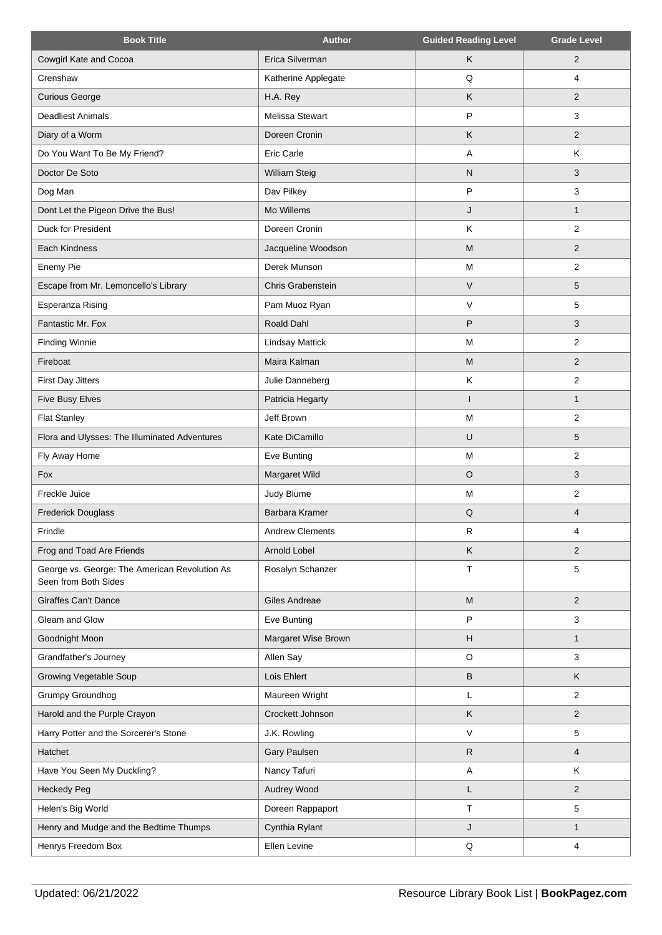| <b>Book Title</b>                                                     | <b>Author</b>          | <b>Guided Reading Level</b> | <b>Grade Level</b> |
|-----------------------------------------------------------------------|------------------------|-----------------------------|--------------------|
| Cowgirl Kate and Cocoa                                                | Erica Silverman        | K                           | 2                  |
| Crenshaw                                                              | Katherine Applegate    | Q                           | 4                  |
| <b>Curious George</b>                                                 | H.A. Rey               | K                           | 2                  |
| <b>Deadliest Animals</b>                                              | Melissa Stewart        | P                           | 3                  |
| Diary of a Worm                                                       | Doreen Cronin          | $\sf K$                     | $\overline{2}$     |
| Do You Want To Be My Friend?                                          | Eric Carle             | A                           | Κ                  |
| Doctor De Soto                                                        | William Steig          | $\mathsf{N}$                | 3                  |
| Dog Man                                                               | Dav Pilkey             | P                           | 3                  |
| Dont Let the Pigeon Drive the Bus!                                    | Mo Willems             | J                           | $\mathbf{1}$       |
| Duck for President                                                    | Doreen Cronin          | K                           | $\overline{2}$     |
| Each Kindness                                                         | Jacqueline Woodson     | M                           | $\overline{2}$     |
| Enemy Pie                                                             | Derek Munson           | M                           | $\overline{2}$     |
| Escape from Mr. Lemoncello's Library                                  | Chris Grabenstein      | $\vee$                      | 5                  |
| Esperanza Rising                                                      | Pam Muoz Ryan          | $\vee$                      | 5                  |
| Fantastic Mr. Fox                                                     | Roald Dahl             | P                           | 3                  |
| <b>Finding Winnie</b>                                                 | <b>Lindsay Mattick</b> | M                           | $\overline{2}$     |
| Fireboat                                                              | Maira Kalman           | M                           | $\overline{2}$     |
| First Day Jitters                                                     | Julie Danneberg        | Κ                           | $\overline{2}$     |
| Five Busy Elves                                                       | Patricia Hegarty       |                             | 1                  |
| <b>Flat Stanley</b>                                                   | Jeff Brown             | M                           | 2                  |
| Flora and Ulysses: The Illuminated Adventures                         | Kate DiCamillo         | U                           | 5                  |
| Fly Away Home                                                         | Eve Bunting            | M                           | $\overline{2}$     |
| Fox                                                                   | Margaret Wild          | $\circ$                     | 3                  |
| Freckle Juice                                                         | Judy Blume             | M                           | 2                  |
| <b>Frederick Douglass</b>                                             | Barbara Kramer         | Q                           | $\overline{4}$     |
| Frindle                                                               | <b>Andrew Clements</b> | R                           | 4                  |
| Frog and Toad Are Friends                                             | Arnold Lobel           | K                           | 2                  |
| George vs. George: The American Revolution As<br>Seen from Both Sides | Rosalyn Schanzer       | Т                           | 5                  |
| <b>Giraffes Can't Dance</b>                                           | Giles Andreae          | M                           | $\overline{2}$     |
| Gleam and Glow                                                        | Eve Bunting            | P                           | 3                  |
| Goodnight Moon                                                        | Margaret Wise Brown    | H                           | $\mathbf{1}$       |
| Grandfather's Journey                                                 | Allen Say              | $\circ$                     | 3                  |
| Growing Vegetable Soup                                                | Lois Ehlert            | $\,$ B                      | Κ                  |
| Grumpy Groundhog                                                      | Maureen Wright         | L                           | $\overline{c}$     |
| Harold and the Purple Crayon                                          | Crockett Johnson       | Κ                           | $\overline{2}$     |
| Harry Potter and the Sorcerer's Stone                                 | J.K. Rowling           | $\vee$                      | 5                  |
| Hatchet                                                               | Gary Paulsen           | $\mathsf{R}$                | 4                  |
| Have You Seen My Duckling?                                            | Nancy Tafuri           | $\overline{\mathsf{A}}$     | Κ                  |
| <b>Heckedy Peg</b>                                                    | Audrey Wood            | L                           | $\overline{2}$     |
| Helen's Big World                                                     | Doreen Rappaport       | Т                           | 5                  |
| Henry and Mudge and the Bedtime Thumps                                | Cynthia Rylant         | J                           | $\mathbf{1}$       |
| Henrys Freedom Box                                                    | Ellen Levine           | $\sf Q$                     | 4                  |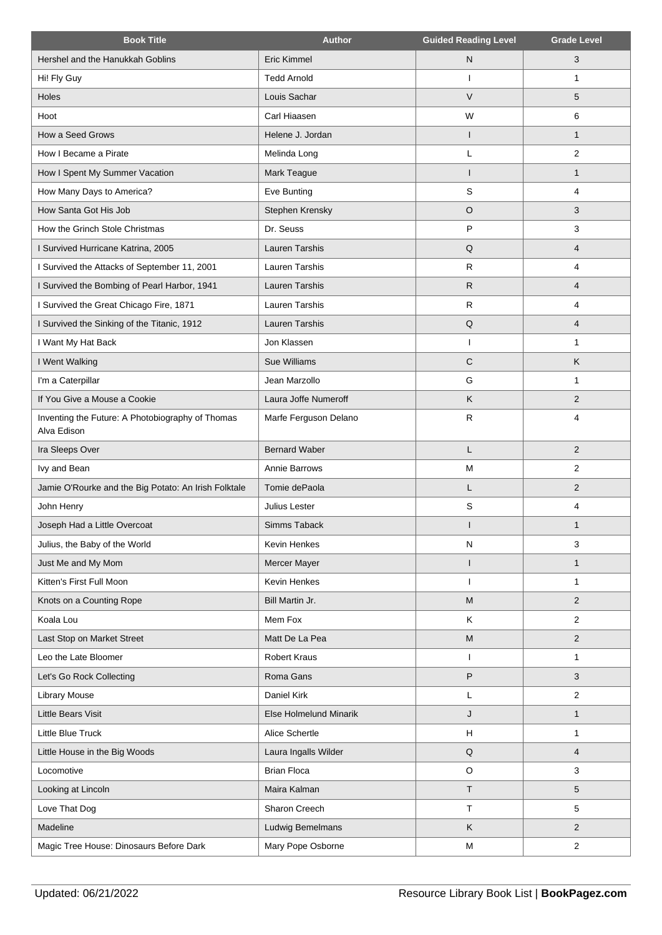| <b>Book Title</b>                                               | <b>Author</b>                 | <b>Guided Reading Level</b> | <b>Grade Level</b>      |
|-----------------------------------------------------------------|-------------------------------|-----------------------------|-------------------------|
| Hershel and the Hanukkah Goblins                                | <b>Eric Kimmel</b>            | $\mathsf{N}$                | 3                       |
| Hi! Fly Guy                                                     | <b>Tedd Arnold</b>            | J.                          | $\mathbf{1}$            |
| Holes                                                           | Louis Sachar                  | $\vee$                      | 5                       |
| Hoot                                                            | Carl Hiaasen                  | W                           | 6                       |
| How a Seed Grows                                                | Helene J. Jordan              | ı                           | $\mathbf{1}$            |
| How I Became a Pirate                                           | Melinda Long                  | Г                           | 2                       |
| How I Spent My Summer Vacation                                  | Mark Teague                   |                             | $\mathbf{1}$            |
| How Many Days to America?                                       | Eve Bunting                   | S                           | 4                       |
| How Santa Got His Job                                           | Stephen Krensky               | $\circ$                     | 3                       |
| How the Grinch Stole Christmas                                  | Dr. Seuss                     | P                           | 3                       |
| I Survived Hurricane Katrina, 2005                              | <b>Lauren Tarshis</b>         | Q                           | $\overline{4}$          |
| I Survived the Attacks of September 11, 2001                    | <b>Lauren Tarshis</b>         | $\mathsf{R}$                | 4                       |
| I Survived the Bombing of Pearl Harbor, 1941                    | Lauren Tarshis                | $\mathsf{R}$                | $\overline{\mathbf{4}}$ |
| I Survived the Great Chicago Fire, 1871                         | Lauren Tarshis                | $\mathsf{R}$                | 4                       |
| I Survived the Sinking of the Titanic, 1912                     | Lauren Tarshis                | Q                           | $\overline{\mathbf{4}}$ |
| I Want My Hat Back                                              | Jon Klassen                   |                             | $\mathbf{1}$            |
| I Went Walking                                                  | Sue Williams                  | $\mathbf C$                 | K                       |
| I'm a Caterpillar                                               | Jean Marzollo                 | G                           | $\mathbf{1}$            |
| If You Give a Mouse a Cookie                                    | Laura Joffe Numeroff          | Κ                           | 2                       |
| Inventing the Future: A Photobiography of Thomas<br>Alva Edison | Marfe Ferguson Delano         | $\mathsf{R}$                | 4                       |
| Ira Sleeps Over                                                 | <b>Bernard Waber</b>          | L                           | 2                       |
| Ivy and Bean                                                    | Annie Barrows                 | M                           | $\overline{c}$          |
| Jamie O'Rourke and the Big Potato: An Irish Folktale            | Tomie dePaola                 | L                           | 2                       |
| John Henry                                                      | Julius Lester                 | S                           | $\overline{4}$          |
| Joseph Had a Little Overcoat                                    | Simms Taback                  |                             | $\mathbf{1}$            |
| Julius, the Baby of the World                                   | Kevin Henkes                  | $\mathsf{N}$                | 3                       |
| Just Me and My Mom                                              | Mercer Mayer                  | ı                           | $\mathbf{1}$            |
| Kitten's First Full Moon                                        | Kevin Henkes                  |                             | 1                       |
| Knots on a Counting Rope                                        | Bill Martin Jr.               | ${\sf M}$                   | 2                       |
| Koala Lou                                                       | Mem Fox                       | K                           | 2                       |
| Last Stop on Market Street                                      | Matt De La Pea                | M                           | $\overline{2}$          |
| Leo the Late Bloomer                                            | <b>Robert Kraus</b>           |                             | 1                       |
| Let's Go Rock Collecting                                        | Roma Gans                     | P                           | 3                       |
| <b>Library Mouse</b>                                            | Daniel Kirk                   | L                           | $\overline{2}$          |
| Little Bears Visit                                              | <b>Else Holmelund Minarik</b> | J                           | $\mathbf{1}$            |
| Little Blue Truck                                               | Alice Schertle                | $\mathsf H$                 | $\mathbf{1}$            |
| Little House in the Big Woods                                   | Laura Ingalls Wilder          | $\mathsf Q$                 | $\overline{\mathbf{4}}$ |
| Locomotive                                                      | <b>Brian Floca</b>            | $\circ$                     | 3                       |
| Looking at Lincoln                                              | Maira Kalman                  | T                           | 5                       |
| Love That Dog                                                   | Sharon Creech                 | T                           | 5                       |
| Madeline                                                        | Ludwig Bemelmans              | K                           | $\overline{2}$          |
| Magic Tree House: Dinosaurs Before Dark                         | Mary Pope Osborne             | M                           | $\mathbf{2}$            |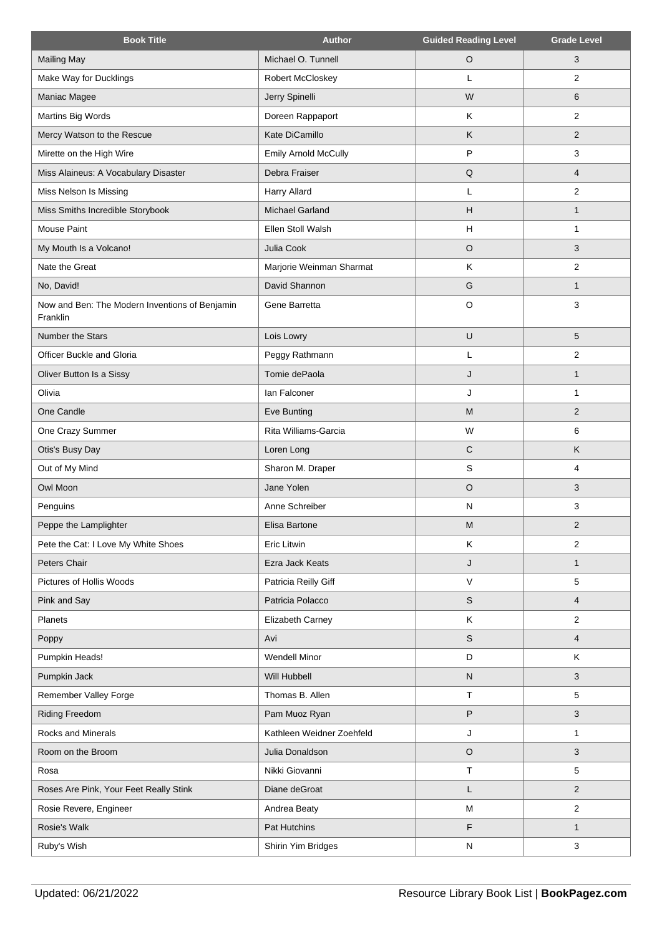| <b>Book Title</b>                                          | <b>Author</b>               | <b>Guided Reading Level</b> | <b>Grade Level</b> |
|------------------------------------------------------------|-----------------------------|-----------------------------|--------------------|
| <b>Mailing May</b>                                         | Michael O. Tunnell          | $\circ$                     | 3                  |
| Make Way for Ducklings                                     | Robert McCloskey            | L                           | $\overline{2}$     |
| Maniac Magee                                               | Jerry Spinelli              | W                           | 6                  |
| Martins Big Words                                          | Doreen Rappaport            | Κ                           | $\overline{2}$     |
| Mercy Watson to the Rescue                                 | Kate DiCamillo              | K                           | $\overline{2}$     |
| Mirette on the High Wire                                   | <b>Emily Arnold McCully</b> | P                           | 3                  |
| Miss Alaineus: A Vocabulary Disaster                       | Debra Fraiser               | Q                           | $\overline{4}$     |
| Miss Nelson Is Missing                                     | Harry Allard                | L                           | 2                  |
| Miss Smiths Incredible Storybook                           | <b>Michael Garland</b>      | H                           | $\mathbf{1}$       |
| Mouse Paint                                                | Ellen Stoll Walsh           | H                           | $\mathbf{1}$       |
| My Mouth Is a Volcano!                                     | Julia Cook                  | $\circ$                     | 3                  |
| Nate the Great                                             | Marjorie Weinman Sharmat    | K                           | 2                  |
| No, David!                                                 | David Shannon               | G                           | $\mathbf{1}$       |
| Now and Ben: The Modern Inventions of Benjamin<br>Franklin | Gene Barretta               | $\circ$                     | 3                  |
| Number the Stars                                           | Lois Lowry                  | $\sf U$                     | 5                  |
| Officer Buckle and Gloria                                  | Peggy Rathmann              | Г                           | $\overline{2}$     |
| Oliver Button Is a Sissy                                   | Tomie dePaola               | J                           | $\mathbf{1}$       |
| Olivia                                                     | lan Falconer                | J                           | 1                  |
| One Candle                                                 | Eve Bunting                 | M                           | 2                  |
| One Crazy Summer                                           | Rita Williams-Garcia        | W                           | 6                  |
| Otis's Busy Day                                            | Loren Long                  | $\mathsf{C}$                | K                  |
| Out of My Mind                                             | Sharon M. Draper            | S                           | 4                  |
| Owl Moon                                                   | Jane Yolen                  | $\circ$                     | 3                  |
| Penguins                                                   | Anne Schreiber              | N                           | 3                  |
| Peppe the Lamplighter                                      | Elisa Bartone               | M                           | $\overline{2}$     |
| Pete the Cat: I Love My White Shoes                        | Eric Litwin                 | Κ                           | 2                  |
| Peters Chair                                               | Ezra Jack Keats             | J                           | $\mathbf{1}$       |
| Pictures of Hollis Woods                                   | Patricia Reilly Giff        | $\vee$                      | 5                  |
| Pink and Say                                               | Patricia Polacco            | $\mathsf S$                 | 4                  |
| Planets                                                    | Elizabeth Carney            | K                           | $\overline{2}$     |
| Poppy                                                      | Avi                         | S                           | $\overline{4}$     |
| Pumpkin Heads!                                             | <b>Wendell Minor</b>        | D                           | Κ                  |
| Pumpkin Jack                                               | Will Hubbell                | ${\sf N}$                   | 3                  |
| Remember Valley Forge                                      | Thomas B. Allen             | $\top$                      | 5                  |
| <b>Riding Freedom</b>                                      | Pam Muoz Ryan               | P                           | 3                  |
| Rocks and Minerals                                         | Kathleen Weidner Zoehfeld   | J                           | 1                  |
| Room on the Broom                                          | Julia Donaldson             | $\circ$                     | 3                  |
| Rosa                                                       | Nikki Giovanni              | $\top$                      | 5                  |
| Roses Are Pink, Your Feet Really Stink                     | Diane deGroat               | L                           | $\overline{2}$     |
| Rosie Revere, Engineer                                     | Andrea Beaty                | M                           | $\overline{c}$     |
| Rosie's Walk                                               | Pat Hutchins                | F                           | $\mathbf{1}$       |
| Ruby's Wish                                                | Shirin Yim Bridges          | N                           | 3                  |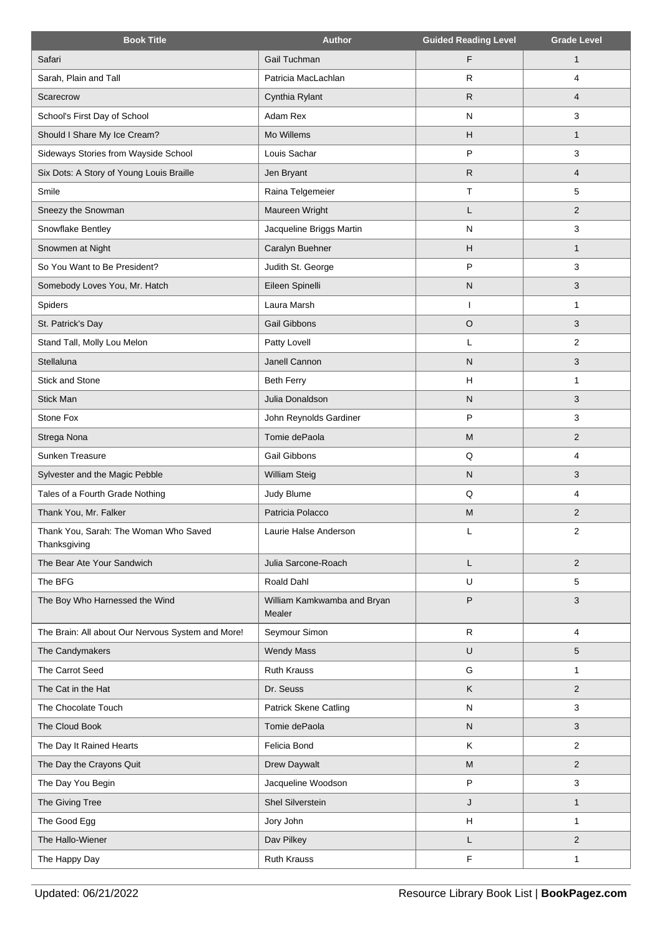| <b>Book Title</b>                                     | <b>Author</b>                         | <b>Guided Reading Level</b> | <b>Grade Level</b> |
|-------------------------------------------------------|---------------------------------------|-----------------------------|--------------------|
| Safari                                                | Gail Tuchman                          | F                           | $\mathbf{1}$       |
| Sarah, Plain and Tall                                 | Patricia MacLachlan                   | R                           | 4                  |
| Scarecrow                                             | Cynthia Rylant                        | $\mathsf{R}$                | 4                  |
| School's First Day of School                          | Adam Rex                              | N                           | 3                  |
| Should I Share My Ice Cream?                          | Mo Willems                            | Н                           | $\mathbf{1}$       |
| Sideways Stories from Wayside School                  | Louis Sachar                          | P                           | 3                  |
| Six Dots: A Story of Young Louis Braille              | Jen Bryant                            | $\mathsf{R}$                | 4                  |
| Smile                                                 | Raina Telgemeier                      | $\top$                      | 5                  |
| Sneezy the Snowman                                    | Maureen Wright                        | L                           | $\overline{2}$     |
| Snowflake Bentley                                     | Jacqueline Briggs Martin              | N                           | 3                  |
| Snowmen at Night                                      | Caralyn Buehner                       | H                           | $\mathbf{1}$       |
| So You Want to Be President?                          | Judith St. George                     | P                           | 3                  |
| Somebody Loves You, Mr. Hatch                         | Eileen Spinelli                       | ${\sf N}$                   | 3                  |
| Spiders                                               | Laura Marsh                           | I                           | 1                  |
| St. Patrick's Day                                     | Gail Gibbons                          | $\circ$                     | 3                  |
| Stand Tall, Molly Lou Melon                           | Patty Lovell                          | L                           | $\overline{2}$     |
| Stellaluna                                            | Janell Cannon                         | N                           | 3                  |
| Stick and Stone                                       | <b>Beth Ferry</b>                     | H                           | 1                  |
| <b>Stick Man</b>                                      | Julia Donaldson                       | N                           | 3                  |
| Stone Fox                                             | John Reynolds Gardiner                | P                           | 3                  |
| Strega Nona                                           | Tomie dePaola                         | M                           | $\overline{2}$     |
| Sunken Treasure                                       | Gail Gibbons                          | Q                           | 4                  |
| Sylvester and the Magic Pebble                        | <b>William Steig</b>                  | ${\sf N}$                   | 3                  |
| Tales of a Fourth Grade Nothing                       | Judy Blume                            | Q                           | 4                  |
| Thank You, Mr. Falker                                 | Patricia Polacco                      | M                           | $\overline{2}$     |
| Thank You, Sarah: The Woman Who Saved<br>Thanksgiving | Laurie Halse Anderson                 |                             | 2                  |
| The Bear Ate Your Sandwich                            | Julia Sarcone-Roach                   | L                           | $\overline{2}$     |
| The BFG                                               | Roald Dahl                            | U                           | 5                  |
| The Boy Who Harnessed the Wind                        | William Kamkwamba and Bryan<br>Mealer | P                           | 3                  |
| The Brain: All about Our Nervous System and More!     | Seymour Simon                         | $\mathsf{R}$                | $\overline{4}$     |
| The Candymakers                                       | <b>Wendy Mass</b>                     | U                           | 5                  |
| The Carrot Seed                                       | <b>Ruth Krauss</b>                    | G                           | 1                  |
| The Cat in the Hat                                    | Dr. Seuss                             | Κ                           | $\overline{2}$     |
| The Chocolate Touch                                   | <b>Patrick Skene Catling</b>          | ${\sf N}$                   | 3                  |
| The Cloud Book                                        | Tomie dePaola                         | ${\sf N}$                   | 3                  |
| The Day It Rained Hearts                              | Felicia Bond                          | Κ                           | 2                  |
| The Day the Crayons Quit                              | Drew Daywalt                          | M                           | $\overline{2}$     |
| The Day You Begin                                     | Jacqueline Woodson                    | ${\sf P}$                   | 3                  |
| The Giving Tree                                       | Shel Silverstein                      | J                           | $\mathbf{1}$       |
| The Good Egg                                          | Jory John                             | Н                           | $\mathbf{1}$       |
| The Hallo-Wiener                                      | Dav Pilkey                            | L                           | $\overline{2}$     |
| The Happy Day                                         | Ruth Krauss                           | F                           | 1                  |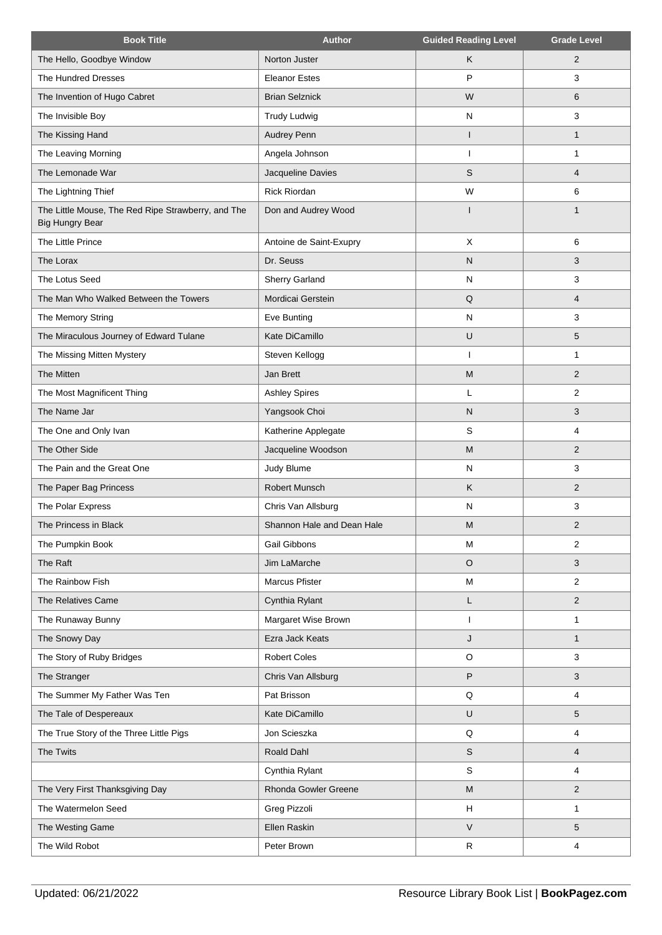| <b>Book Title</b>                                                            | <b>Author</b>              | <b>Guided Reading Level</b> | <b>Grade Level</b>      |
|------------------------------------------------------------------------------|----------------------------|-----------------------------|-------------------------|
| The Hello, Goodbye Window                                                    | Norton Juster              | Κ                           | $\overline{2}$          |
| The Hundred Dresses                                                          | <b>Eleanor Estes</b>       | P                           | 3                       |
| The Invention of Hugo Cabret                                                 | <b>Brian Selznick</b>      | W                           | 6                       |
| The Invisible Boy                                                            | <b>Trudy Ludwig</b>        | $\mathsf{N}$                | 3                       |
| The Kissing Hand                                                             | Audrey Penn                | $\mathbf{I}$                | $\mathbf{1}$            |
| The Leaving Morning                                                          | Angela Johnson             | H                           | 1                       |
| The Lemonade War                                                             | Jacqueline Davies          | S                           | $\overline{4}$          |
| The Lightning Thief                                                          | <b>Rick Riordan</b>        | W                           | 6                       |
| The Little Mouse, The Red Ripe Strawberry, and The<br><b>Big Hungry Bear</b> | Don and Audrey Wood        |                             | 1                       |
| The Little Prince                                                            | Antoine de Saint-Exupry    | X                           | 6                       |
| The Lorax                                                                    | Dr. Seuss                  | ${\sf N}$                   | 3                       |
| The Lotus Seed                                                               | <b>Sherry Garland</b>      | N                           | 3                       |
| The Man Who Walked Between the Towers                                        | Mordicai Gerstein          | Q                           | 4                       |
| The Memory String                                                            | Eve Bunting                | N                           | 3                       |
| The Miraculous Journey of Edward Tulane                                      | Kate DiCamillo             | $\sf U$                     | 5                       |
| The Missing Mitten Mystery                                                   | Steven Kellogg             | ı                           | 1                       |
| The Mitten                                                                   | Jan Brett                  | M                           | $\overline{2}$          |
| The Most Magnificent Thing                                                   | <b>Ashley Spires</b>       | L                           | $\overline{2}$          |
| The Name Jar                                                                 | Yangsook Choi              | N                           | 3                       |
| The One and Only Ivan                                                        | Katherine Applegate        | S                           | 4                       |
| The Other Side                                                               | Jacqueline Woodson         | M                           | $\overline{2}$          |
| The Pain and the Great One                                                   | Judy Blume                 | N                           | 3                       |
| The Paper Bag Princess                                                       | Robert Munsch              | $\sf K$                     | $\overline{2}$          |
| The Polar Express                                                            | Chris Van Allsburg         | N                           | 3                       |
| The Princess in Black                                                        | Shannon Hale and Dean Hale | M                           | $\overline{2}$          |
| The Pumpkin Book                                                             | Gail Gibbons               | M                           | 2                       |
| The Raft                                                                     | Jim LaMarche               | $\circ$                     | 3                       |
| The Rainbow Fish                                                             | Marcus Pfister             | M                           | $\overline{2}$          |
| The Relatives Came                                                           | Cynthia Rylant             | L                           | $\overline{2}$          |
| The Runaway Bunny                                                            | Margaret Wise Brown        | ı                           | $\mathbf{1}$            |
| The Snowy Day                                                                | Ezra Jack Keats            | J                           | $\mathbf{1}$            |
| The Story of Ruby Bridges                                                    | <b>Robert Coles</b>        | $\circ$                     | 3                       |
| The Stranger                                                                 | Chris Van Allsburg         | P                           | 3                       |
| The Summer My Father Was Ten                                                 | Pat Brisson                | Q                           | 4                       |
| The Tale of Despereaux                                                       | Kate DiCamillo             | U                           | 5                       |
| The True Story of the Three Little Pigs                                      | Jon Scieszka               | Q                           | $\overline{4}$          |
| The Twits                                                                    | Roald Dahl                 | $\mathsf S$                 | $\overline{\mathbf{4}}$ |
|                                                                              | Cynthia Rylant             | S                           | $\overline{4}$          |
| The Very First Thanksgiving Day                                              | Rhonda Gowler Greene       | M                           | $\overline{2}$          |
| The Watermelon Seed                                                          | Greg Pizzoli               | H                           | 1                       |
| The Westing Game                                                             | Ellen Raskin               | $\vee$                      | 5                       |
| The Wild Robot                                                               | Peter Brown                | $\mathsf{R}$                | 4                       |